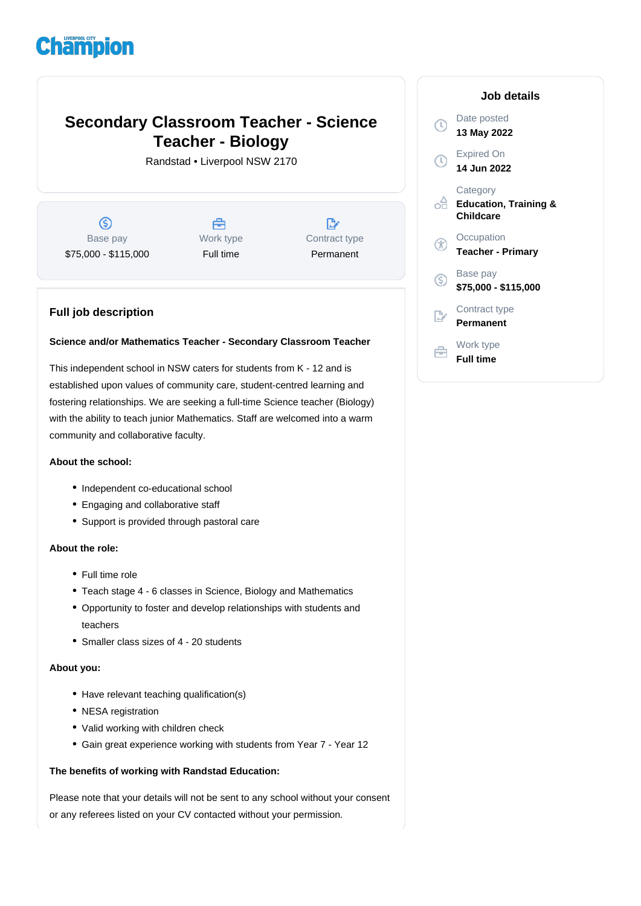# **Champion**

# **Secondary Classroom Teacher - Science Teacher - Biology**

Randstad • Liverpool NSW 2170

 $\circledS$ Base pay \$75,000 - \$115,000

Å Work type Full time

 $\mathbb{D}$ Contract type Permanent

### **Full job description**

#### **Science and/or Mathematics Teacher - Secondary Classroom Teacher**

This independent school in NSW caters for students from K - 12 and is established upon values of community care, student-centred learning and fostering relationships. We are seeking a full-time Science teacher (Biology) with the ability to teach junior Mathematics. Staff are welcomed into a warm community and collaborative faculty.

#### **About the school:**

- Independent co-educational school
- Engaging and collaborative staff
- Support is provided through pastoral care

#### **About the role:**

- Full time role
- Teach stage 4 6 classes in Science, Biology and Mathematics
- Opportunity to foster and develop relationships with students and teachers
- Smaller class sizes of 4 20 students

#### **About you:**

- Have relevant teaching qualification(s)
- NESA registration
- Valid working with children check
- Gain great experience working with students from Year 7 Year 12

#### **The benefits of working with Randstad Education:**

Please note that your details will not be sent to any school without your consent or any referees listed on your CV contacted without your permission.

## **Job details** Date posted  $\bigcap$ **13 May 2022** Expired On **14 Jun 2022 Category Education, Training &** ofi **Childcare Occupation Teacher - Primary** Base pay <sub>(S)</sub> **\$75,000 - \$115,000** Contract type **Permanent** Work type

**Full time**